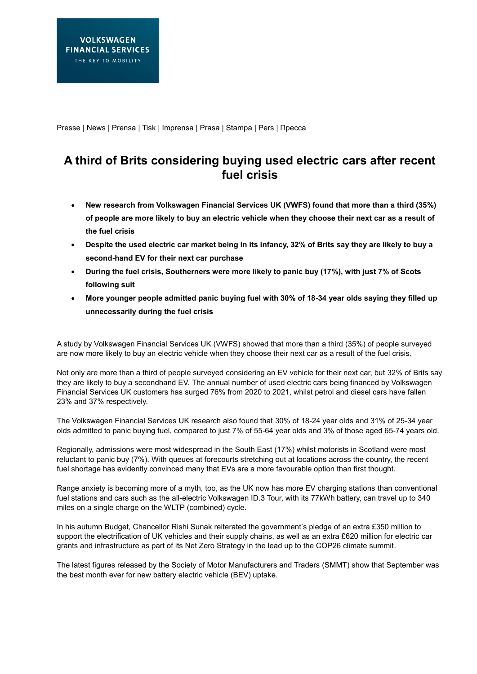Presse | News | Prensa | Tisk | Imprensa | Prasa | Stampa | Pers | Пресса

## **A third of Brits considering buying used electric cars after recent fuel crisis**

- **New research from Volkswagen Financial Services UK (VWFS) found that more than a third (35%) of people are more likely to buy an electric vehicle when they choose their next car as a result of the fuel crisis**
- **Despite the used electric car market being in its infancy, 32% of Brits say they are likely to buy a second-hand EV for their next car purchase**
- **During the fuel crisis, Southerners were more likely to panic buy (17%), with just 7% of Scots following suit**
- **More younger people admitted panic buying fuel with 30% of 18-34 year olds saying they filled up unnecessarily during the fuel crisis**

A study by Volkswagen Financial Services UK (VWFS) showed that more than a third (35%) of people surveyed are now more likely to buy an electric vehicle when they choose their next car as a result of the fuel crisis.

Not only are more than a third of people surveyed considering an EV vehicle for their next car, but 32% of Brits say they are likely to buy a secondhand EV. The annual number of used electric cars being financed by Volkswagen Financial Services UK customers has surged 76% from 2020 to 2021, whilst petrol and diesel cars have fallen 23% and 37% respectively.

The Volkswagen Financial Services UK research also found that 30% of 18-24 year olds and 31% of 25-34 year olds admitted to panic buying fuel, compared to just 7% of 55-64 year olds and 3% of those aged 65-74 years old.

Regionally, admissions were most widespread in the South East (17%) whilst motorists in Scotland were most reluctant to panic buy (7%). With queues at forecourts stretching out at locations across the country, the recent fuel shortage has evidently convinced many that EVs are a more favourable option than first thought.

Range anxiety is becoming more of a myth, too, as the UK now has more EV charging stations than conventional fuel stations and cars such as the all-electric Volkswagen ID.3 Tour, with its 77kWh battery, can travel up to 340 miles on a single charge on the WLTP (combined) cycle.

In his autumn Budget, Chancellor Rishi Sunak reiterated the government's pledge of an extra £350 million to support the electrification of UK vehicles and their supply chains, as well as an extra £620 million for electric car grants and infrastructure as part of its Net Zero Strategy in the lead up to the COP26 climate summit.

The latest figures released by the Society of Motor Manufacturers and Traders (SMMT) show that September was the best month ever for new battery electric vehicle (BEV) uptake.